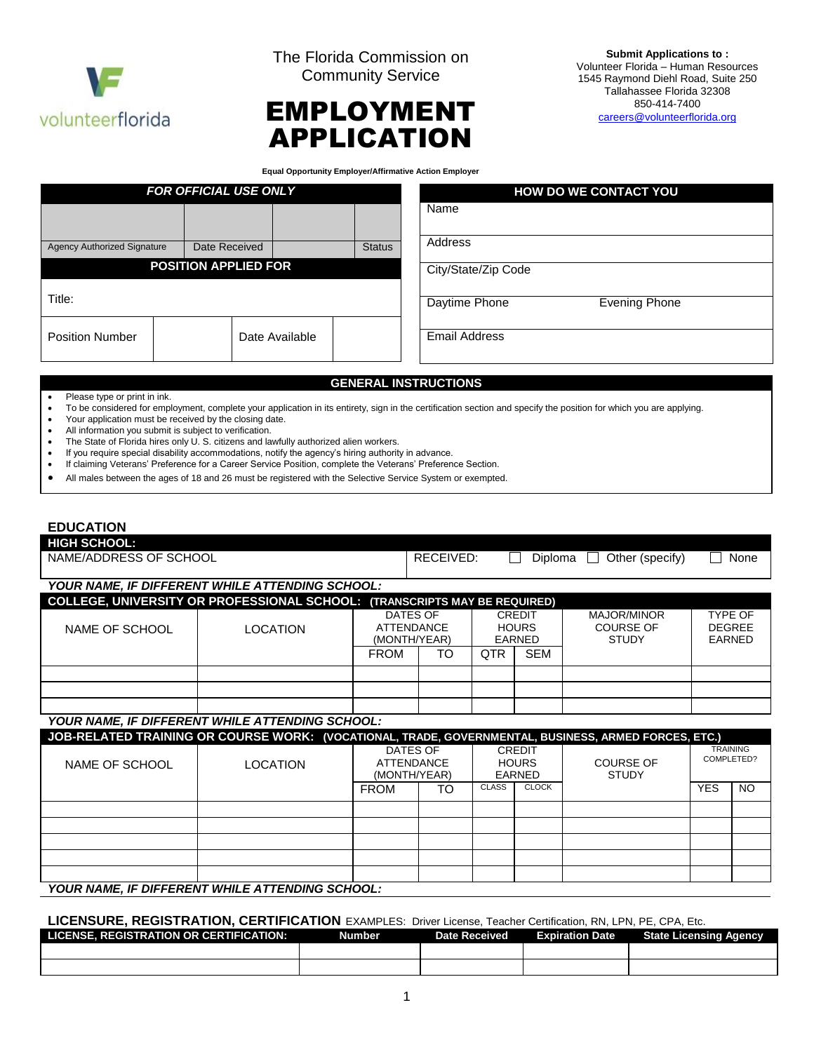

The Florida Commission on Community Service



**Submit Applications to :**  Volunteer Florida – Human Resources 1545 Raymond Diehl Road, Suite 250 Tallahassee Florida 32308 850-414-7400 [careers@volunteerflorida.org](mailto:careers@volunteerflorida.org)

**Equal Opportunity Employer/Affirmative Action Employer**

|                                    | <b>FOR OFFICIAL USE ONLY</b> |                |               |                      | <b>HOW DO WE CONTACT YOU</b> |  |
|------------------------------------|------------------------------|----------------|---------------|----------------------|------------------------------|--|
|                                    |                              |                |               | Name                 |                              |  |
| <b>Agency Authorized Signature</b> | Date Received                |                | <b>Status</b> | Address              |                              |  |
|                                    | <b>POSITION APPLIED FOR</b>  |                |               | City/State/Zip Code  |                              |  |
| Title:                             |                              |                |               | Daytime Phone        | <b>Evening Phone</b>         |  |
| <b>Position Number</b>             |                              | Date Available |               | <b>Email Address</b> |                              |  |

#### **GENERAL INSTRUCTIONS**

Please type or print in ink.

To be considered for employment, complete your application in its entirety, sign in the certification section and specify the position for which you are applying.

- Your application must be received by the closing date.
- All information you submit is subject to verification.
- The State of Florida hires only U. S. citizens and lawfully authorized alien workers.
- If you require special disability accommodations, notify the agency's hiring authority in advance.
- If claiming Veterans' Preference for a Career Service Position, complete the Veterans' Preference Section.
- All males between the ages of 18 and 26 must be registered with the Selective Service System or exempted.

### **EDUCATION**

| <b>HIGH SCHOOL:</b>                                                       |                                                        |            |              |                  |                      |  |  |
|---------------------------------------------------------------------------|--------------------------------------------------------|------------|--------------|------------------|----------------------|--|--|
| NAME/ADDRESS OF SCHOOL                                                    |                                                        | RECEIVED:  | Diploma      | Other (specify)  | None<br>$\mathbf{L}$ |  |  |
|                                                                           |                                                        |            |              |                  |                      |  |  |
|                                                                           | <b>YOUR NAME. IF DIFFERENT WHILE ATTENDING SCHOOL:</b> |            |              |                  |                      |  |  |
| COLLEGE, UNIVERSITY OR PROFESSIONAL SCHOOL: (TRANSCRIPTS MAY BE REQUIRED) |                                                        |            |              |                  |                      |  |  |
|                                                                           |                                                        | DATES OF   | CREDIT       | MAJOR/MINOR      | <b>TYPF OF</b>       |  |  |
| NAME OF SCHOOL                                                            | LOCATION                                               | ATTENDANCE | <b>HOURS</b> | <b>COURSE OF</b> | <b>DEGREE</b>        |  |  |

| NAME OF SCHOOL | LOCATION | <b>ATTENDANCE</b><br>(MONTH/YEAR) |    | <b>HOURS</b><br>EARNED |            | <b>COURSE OF</b><br><b>STUDY</b> | <b>DEGREE</b><br>EARNED |  |
|----------------|----------|-----------------------------------|----|------------------------|------------|----------------------------------|-------------------------|--|
|                |          | <b>FROM</b>                       | TO | QTR                    | <b>SEM</b> |                                  |                         |  |
|                |          |                                   |    |                        |            |                                  |                         |  |
|                |          |                                   |    |                        |            |                                  |                         |  |
|                |          |                                   |    |                        |            |                                  |                         |  |

### *YOUR NAME, IF DIFFERENT WHILE ATTENDING SCHOOL:*

| JOB-RELATED TRAINING OR COURSE WORK: (VOCATIONAL, TRADE, GOVERNMENTAL, BUSINESS, ARMED FORCES, ETC.) |                 |                                                                                          |    |                                  |                               |  |            |           |
|------------------------------------------------------------------------------------------------------|-----------------|------------------------------------------------------------------------------------------|----|----------------------------------|-------------------------------|--|------------|-----------|
| NAME OF SCHOOL                                                                                       | <b>LOCATION</b> | DATES OF<br><b>CREDIT</b><br><b>HOURS</b><br><b>ATTENDANCE</b><br>(MONTH/YEAR)<br>EARNED |    | <b>COURSE OF</b><br><b>STUDY</b> | <b>TRAINING</b><br>COMPLETED? |  |            |           |
|                                                                                                      |                 | <b>FROM</b>                                                                              | TO | <b>CLASS</b>                     | <b>CLOCK</b>                  |  | <b>YES</b> | <b>NO</b> |
|                                                                                                      |                 |                                                                                          |    |                                  |                               |  |            |           |
|                                                                                                      |                 |                                                                                          |    |                                  |                               |  |            |           |
|                                                                                                      |                 |                                                                                          |    |                                  |                               |  |            |           |
|                                                                                                      |                 |                                                                                          |    |                                  |                               |  |            |           |
|                                                                                                      |                 |                                                                                          |    |                                  |                               |  |            |           |
| VOUD NAME IE NIEEEDENT WUII E ATTENDING SCHOOL.                                                      |                 |                                                                                          |    |                                  |                               |  |            |           |

#### *YOUR NAME, IF DIFFERENT WHILE ATTENDING SCHOOL:*

#### **LICENSURE, REGISTRATION, CERTIFICATION** EXAMPLES: Driver License, Teacher Certification, RN, LPN, PE, CPA, Etc.

| <b>LICENSE, REGISTRATION OR CERTIFICATION:</b> | Number | <b>Date Received</b> | <b>Expiration Date</b> | <b>State Licensing Agency</b> |
|------------------------------------------------|--------|----------------------|------------------------|-------------------------------|
|                                                |        |                      |                        |                               |
|                                                |        |                      |                        |                               |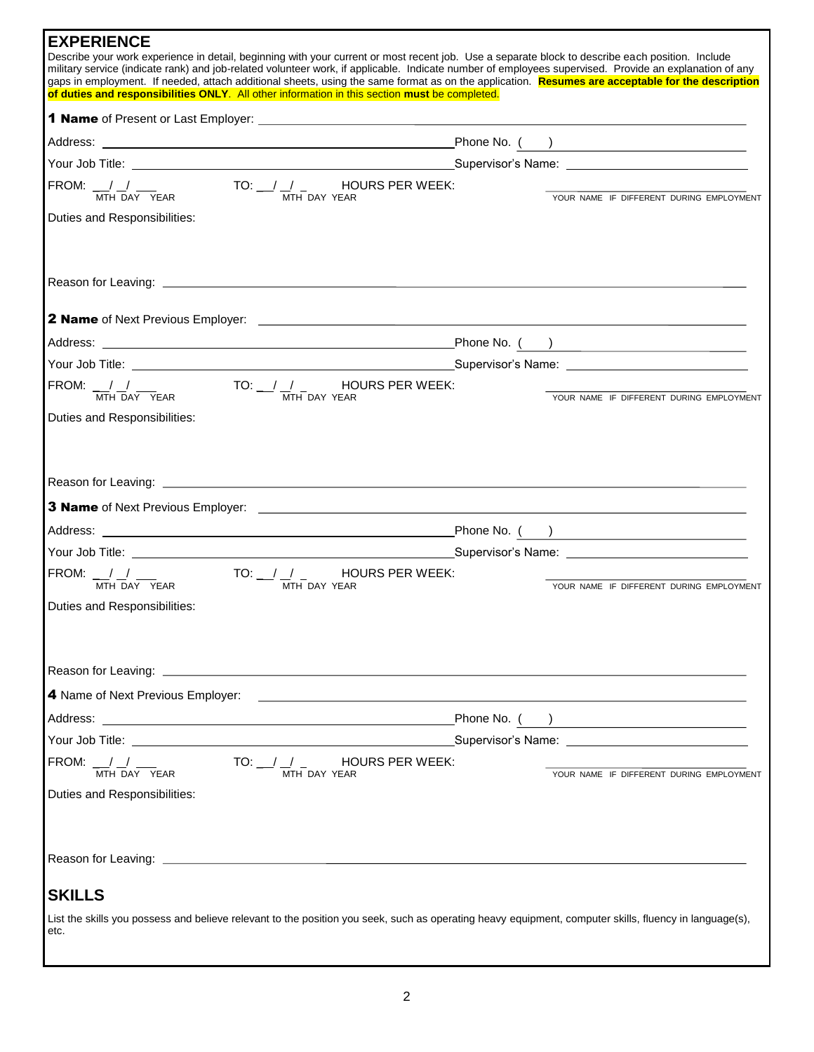| <b>EXPERIENCE</b>            |                                                                                                                                                                                                                                                                                                            |                                          |
|------------------------------|------------------------------------------------------------------------------------------------------------------------------------------------------------------------------------------------------------------------------------------------------------------------------------------------------------|------------------------------------------|
|                              | Describe your work experience in detail, beginning with your current or most recent job. Use a separate block to describe each position. Include<br>military service (indicate rank) and job-related volunteer work, if applicable. Indicate number of employees supervised. Provide an explanation of any |                                          |
|                              | gaps in employment. If needed, attach additional sheets, using the same format as on the application. Resumes are acceptable for the description<br>of duties and responsibilities ONLY. All other information in this section must be completed.                                                          |                                          |
|                              |                                                                                                                                                                                                                                                                                                            |                                          |
|                              |                                                                                                                                                                                                                                                                                                            |                                          |
|                              | Your Job Title: 1980 Title: 2008 Contract Contract Contract Contract Contract Contract Contract Contract Contract Contract Contract Contract Contract Contract Contract Contract Contract Contract Contract Contract Contract                                                                              |                                          |
|                              | FROM: $\frac{1}{MTH} \frac{1}{DAY} \frac{1}{YEAR}$ TO: $\frac{1}{MTH} \frac{1}{DAY} \frac{1}{YEAR}$ HOURS PER WEEK:                                                                                                                                                                                        | YOUR NAME IF DIFFERENT DURING EMPLOYMENT |
| Duties and Responsibilities: |                                                                                                                                                                                                                                                                                                            |                                          |
|                              |                                                                                                                                                                                                                                                                                                            |                                          |
|                              |                                                                                                                                                                                                                                                                                                            |                                          |
|                              |                                                                                                                                                                                                                                                                                                            |                                          |
|                              |                                                                                                                                                                                                                                                                                                            |                                          |
|                              | FROM: $\frac{1}{MTH}$ Day YEAR TO: $\frac{1}{MTH}$ DAY YEAR HOURS PER WEEK:                                                                                                                                                                                                                                |                                          |
|                              |                                                                                                                                                                                                                                                                                                            | YOUR NAME IF DIFFERENT DURING EMPLOYMENT |
| Duties and Responsibilities: |                                                                                                                                                                                                                                                                                                            |                                          |
|                              |                                                                                                                                                                                                                                                                                                            |                                          |
|                              |                                                                                                                                                                                                                                                                                                            |                                          |
|                              |                                                                                                                                                                                                                                                                                                            |                                          |
|                              |                                                                                                                                                                                                                                                                                                            |                                          |
|                              | FROM: $\frac{1}{MTH}$ Day YEAR TO: $\frac{1}{MTH}$ DAY YEAR HOURS PER WEEK:                                                                                                                                                                                                                                | YOUR NAME IF DIFFERENT DURING EMPLOYMENT |
| Duties and Responsibilities: |                                                                                                                                                                                                                                                                                                            |                                          |
|                              |                                                                                                                                                                                                                                                                                                            |                                          |
|                              |                                                                                                                                                                                                                                                                                                            |                                          |
|                              |                                                                                                                                                                                                                                                                                                            |                                          |
|                              |                                                                                                                                                                                                                                                                                                            |                                          |
|                              |                                                                                                                                                                                                                                                                                                            |                                          |
|                              | FROM: $\frac{1}{MTH}$ Day YEAR TO: $\frac{1}{MTH}$ DAY YEAR HOURS PER WEEK:                                                                                                                                                                                                                                | YOUR NAME IF DIFFERENT DURING EMPLOYMENT |
| Duties and Responsibilities: |                                                                                                                                                                                                                                                                                                            |                                          |
|                              |                                                                                                                                                                                                                                                                                                            |                                          |
|                              |                                                                                                                                                                                                                                                                                                            |                                          |
| <b>SKILLS</b>                |                                                                                                                                                                                                                                                                                                            |                                          |
| etc.                         | List the skills you possess and believe relevant to the position you seek, such as operating heavy equipment, computer skills, fluency in language(s),                                                                                                                                                     |                                          |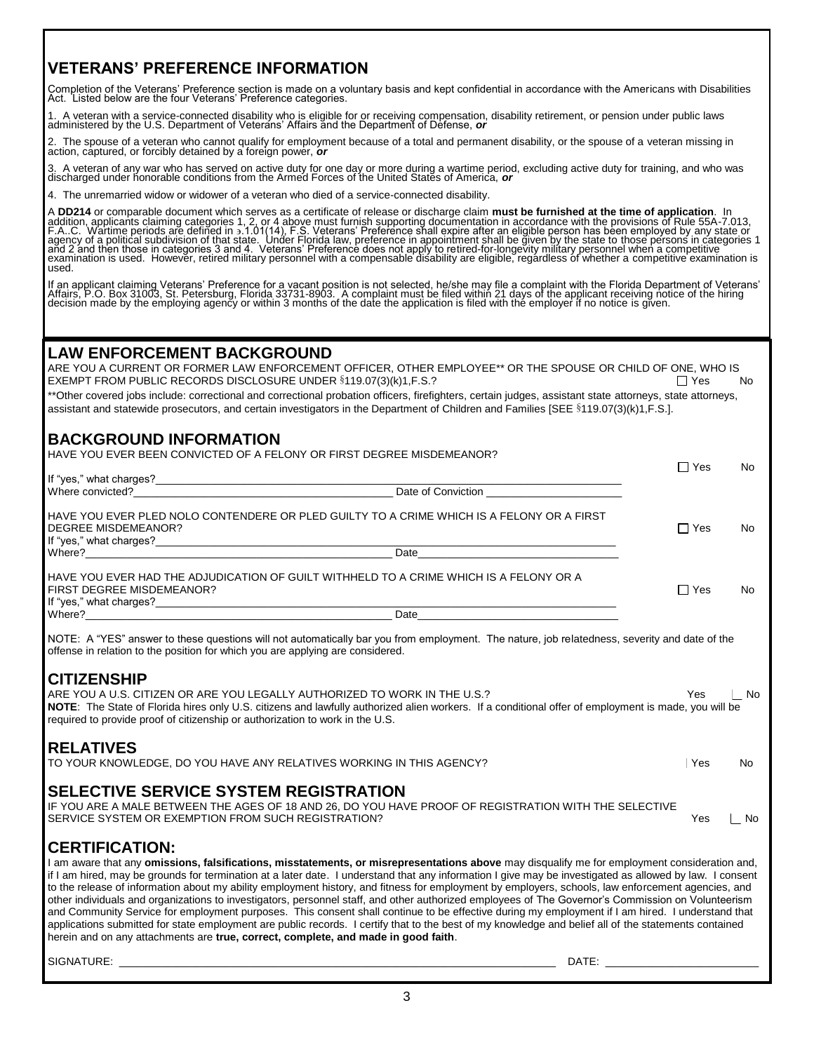# **VETERANS' PREFERENCE INFORMATION**

Completion of the Veterans' Preference section is made on a voluntary basis and kept confidential in accordance with the Americans with Disabilities Act. Listed below are the four Veterans' Preference categories.

1. A veteran with a service-connected disability who is eligible for or receiving compensation, disability retirement, or pension under public laws<br>administered by the U.S. Department of Veterans' Affairs and the Departmen

2. The spouse of a veteran who cannot qualify for employment because of a total and permanent disability, or the spouse of a veteran missing in action, captured, or forcibly detained by a foreign power, *or*

3. A veteran of any war who has served on active duty for one day or more during a wartime period, excluding active duty for training, and who was<br>discharged under honorable conditions from the Armed Forces of the United S

4. The unremarried widow or widower of a veteran who died of a service-connected disability.

A DD214 or comparable document which serves as a certificate of release or discharge claim **must be furnished at the time of application**. In<br>addition, applicants claiming categories 1, 2, or 4 above must furnish supportin used.

If an applicant claiming Veterans' Preference for a vacant position is not selected, he/she may file a complaint with the Florida Department of Veterans'<br>Affairs, P.O. Box 31003, St. Petersburg, Florida 33731-8903. A compl

### **LAW ENFORCEMENT BACKGROUND**

ARE YOU A CURRENT OR FORMER LAW ENFORCEMENT OFFICER, OTHER EMPLOYEE\*\* OR THE SPOUSE OR CHILD OF ONE, WHO IS EXEMPT FROM PUBLIC RECORDS DISCLOSURE UNDER  $§119.07(3)(k)1, F.S.$ ?  $\square$  Yes  $\square$  Yes No

\*\*Other covered jobs include: correctional and correctional probation officers, firefighters, certain judges, assistant state attorneys, state attorneys, assistant and statewide prosecutors, and certain investigators in the Department of Children and Families [SEE §119.07(3)(k)1,F.S.].

# **BACKGROUND INFORMATION**

| HAVE YOU EVER BEEN CONVICTED OF A FELONY OR FIRST DEGREE MISDEMEANOR?                                                                                                                                                                                                                                                                                                                                                                                                                                                                                                                                                                                                                                                                                                                                                                                                                                                                     |            |     |  |
|-------------------------------------------------------------------------------------------------------------------------------------------------------------------------------------------------------------------------------------------------------------------------------------------------------------------------------------------------------------------------------------------------------------------------------------------------------------------------------------------------------------------------------------------------------------------------------------------------------------------------------------------------------------------------------------------------------------------------------------------------------------------------------------------------------------------------------------------------------------------------------------------------------------------------------------------|------------|-----|--|
|                                                                                                                                                                                                                                                                                                                                                                                                                                                                                                                                                                                                                                                                                                                                                                                                                                                                                                                                           | $\Box$ Yes | No. |  |
| Where convicted?                                                                                                                                                                                                                                                                                                                                                                                                                                                                                                                                                                                                                                                                                                                                                                                                                                                                                                                          |            |     |  |
| HAVE YOU EVER PLED NOLO CONTENDERE OR PLED GUILTY TO A CRIME WHICH IS A FELONY OR A FIRST<br><b>DEGREE MISDEMEANOR?</b>                                                                                                                                                                                                                                                                                                                                                                                                                                                                                                                                                                                                                                                                                                                                                                                                                   | $\Box$ Yes | No. |  |
| Where? The contract of the contract of the contract of the contract of the contract of the contract of the contract of the contract of the contract of the contract of the contract of the contract of the contract of the con                                                                                                                                                                                                                                                                                                                                                                                                                                                                                                                                                                                                                                                                                                            |            |     |  |
| HAVE YOU EVER HAD THE ADJUDICATION OF GUILT WITHHELD TO A CRIME WHICH IS A FELONY OR A<br>FIRST DEGREE MISDEMEANOR?                                                                                                                                                                                                                                                                                                                                                                                                                                                                                                                                                                                                                                                                                                                                                                                                                       | $\Box$ Yes | No  |  |
|                                                                                                                                                                                                                                                                                                                                                                                                                                                                                                                                                                                                                                                                                                                                                                                                                                                                                                                                           |            |     |  |
| NOTE: A "YES" answer to these questions will not automatically bar you from employment. The nature, job relatedness, severity and date of the<br>offense in relation to the position for which you are applying are considered.                                                                                                                                                                                                                                                                                                                                                                                                                                                                                                                                                                                                                                                                                                           |            |     |  |
| <b>CITIZENSHIP</b><br>ARE YOU A U.S. CITIZEN OR ARE YOU LEGALLY AUTHORIZED TO WORK IN THE U.S.?<br>NOTE: The State of Florida hires only U.S. citizens and lawfully authorized alien workers. If a conditional offer of employment is made, you will be<br>required to provide proof of citizenship or authorization to work in the U.S.                                                                                                                                                                                                                                                                                                                                                                                                                                                                                                                                                                                                  | Yes        | No  |  |
| <b>RELATIVES</b><br>TO YOUR KNOWLEDGE, DO YOU HAVE ANY RELATIVES WORKING IN THIS AGENCY?                                                                                                                                                                                                                                                                                                                                                                                                                                                                                                                                                                                                                                                                                                                                                                                                                                                  | Yes        | No  |  |
| SELECTIVE SERVICE SYSTEM REGISTRATION<br>IF YOU ARE A MALE BETWEEN THE AGES OF 18 AND 26, DO YOU HAVE PROOF OF REGISTRATION WITH THE SELECTIVE<br>SERVICE SYSTEM OR EXEMPTION FROM SUCH REGISTRATION?                                                                                                                                                                                                                                                                                                                                                                                                                                                                                                                                                                                                                                                                                                                                     | Yes        | No  |  |
| <b>CERTIFICATION:</b>                                                                                                                                                                                                                                                                                                                                                                                                                                                                                                                                                                                                                                                                                                                                                                                                                                                                                                                     |            |     |  |
| I am aware that any <b>omissions, falsifications, misstatements, or misrepresentations above</b> may disqualify me for employment consideration and,<br>if I am hired, may be grounds for termination at a later date. I understand that any information I give may be investigated as allowed by law. I consent<br>to the release of information about my ability employment history, and fitness for employment by employers, schools, law enforcement agencies, and<br>other individuals and organizations to investigators, personnel staff, and other authorized employees of The Governor's Commission on Volunteerism<br>and Community Service for employment purposes. This consent shall continue to be effective during my employment if I am hired. I understand that<br>applications submitted for state employment are public records. I certify that to the best of my knowledge and belief all of the statements contained |            |     |  |

herein and on any attachments are **true, correct, complete, and made in good faith**.

SIGNATURE: \_\_\_\_\_\_\_\_\_\_\_\_\_\_\_\_\_\_\_\_\_\_\_\_\_\_\_\_\_\_\_\_\_\_\_\_\_\_\_\_\_\_\_\_\_\_\_\_\_\_\_\_\_\_\_\_\_\_\_\_\_\_\_\_\_\_\_\_\_\_\_\_\_\_ DATE: \_\_\_\_\_\_\_\_\_\_\_\_\_\_\_\_\_\_\_\_\_\_\_\_\_\_